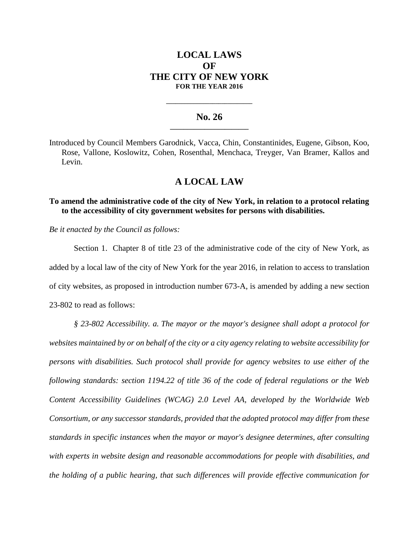# **LOCAL LAWS OF THE CITY OF NEW YORK FOR THE YEAR 2016**

## **No. 26 \_\_\_\_\_\_\_\_\_\_\_\_\_\_\_\_\_\_\_\_\_\_\_**

**\_\_\_\_\_\_\_\_\_\_\_\_\_\_\_\_\_\_\_\_\_\_\_\_\_\_\_\_**

Introduced by Council Members Garodnick, Vacca, Chin, Constantinides, Eugene, Gibson, Koo, Rose, Vallone, Koslowitz, Cohen, Rosenthal, Menchaca, Treyger, Van Bramer, Kallos and Levin.

## **A LOCAL LAW**

### **To amend the administrative code of the city of New York, in relation to a protocol relating to the accessibility of city government websites for persons with disabilities.**

*Be it enacted by the Council as follows:*

Section 1. Chapter 8 of title 23 of the administrative code of the city of New York, as added by a local law of the city of New York for the year 2016, in relation to access to translation of city websites, as proposed in introduction number 673-A, is amended by adding a new section 23-802 to read as follows:

*§ 23-802 Accessibility. a. The mayor or the mayor's designee shall adopt a protocol for websites maintained by or on behalf of the city or a city agency relating to website accessibility for persons with disabilities. Such protocol shall provide for agency websites to use either of the following standards: section 1194.22 of title 36 of the code of federal regulations or the Web Content Accessibility Guidelines (WCAG) 2.0 Level AA, developed by the Worldwide Web Consortium, or any successor standards, provided that the adopted protocol may differ from these standards in specific instances when the mayor or mayor's designee determines, after consulting with experts in website design and reasonable accommodations for people with disabilities, and the holding of a public hearing, that such differences will provide effective communication for*